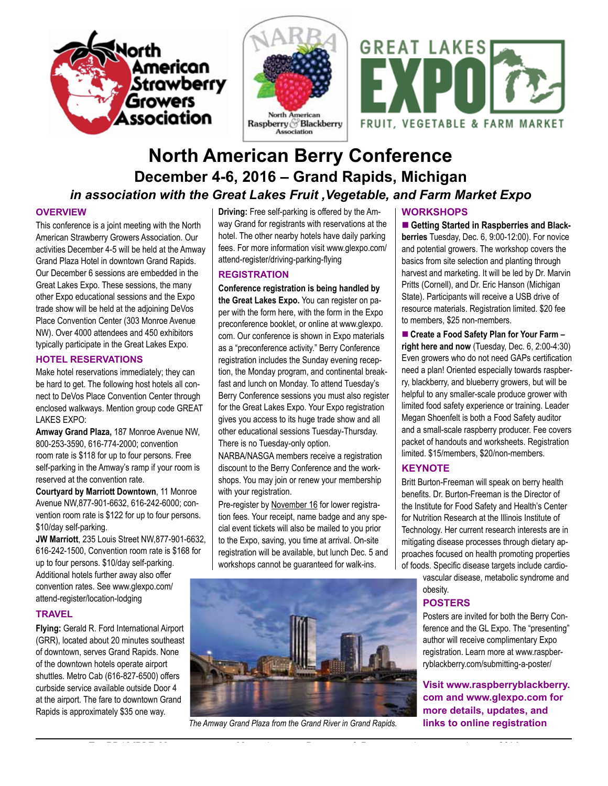





# **North American Berry Conference December 4-6, 2016 – Grand Rapids, Michigan** *in association with the Great Lakes Fruit ,Vegetable, and Farm Market Expo*

# **OVERVIEW**

This conference is a joint meeting with the North American Strawberry Growers Association. Our activities December 4-5 will be held at the Amway Grand Plaza Hotel in downtown Grand Rapids. Our December 6 sessions are embedded in the Great Lakes Expo. These sessions, the many other Expo educational sessions and the Expo trade show will be held at the adjoining DeVos Place Convention Center (303 Monroe Avenue NW). Over 4000 attendees and 450 exhibitors typically participate in the Great Lakes Expo.

### **HOTEL RESERVATIONS**

Make hotel reservations immediately; they can be hard to get. The following host hotels all connect to DeVos Place Convention Center through enclosed walkways. Mention group code GREAT LAKES EXPO:

**Amway Grand Plaza,** 187 Monroe Avenue NW, 800-253-3590, 616-774-2000; convention room rate is \$118 for up to four persons. Free self-parking in the Amway's ramp if your room is reserved at the convention rate.

**Courtyard by Marriott Downtown**, 11 Monroe Avenue NW,877-901-6632, 616-242-6000; convention room rate is \$122 for up to four persons. \$10/day self-parking.

**JW Marriott**, 235 Louis Street NW,877-901-6632, 616-242-1500, Convention room rate is \$168 for up to four persons. \$10/day self-parking. Additional hotels further away also offer convention rates. See www.glexpo.com/ attend-register/location-lodging

# **Travel**

**Flying:** Gerald R. Ford International Airport (GRR), located about 20 minutes southeast of downtown, serves Grand Rapids. None of the downtown hotels operate airport shuttles. Metro Cab (616-827-6500) offers curbside service available outside Door 4 at the airport. The fare to downtown Grand Rapids is approximately \$35 one way.

**Driving:** Free self-parking is offered by the Amway Grand for registrants with reservations at the hotel. The other nearby hotels have daily parking fees. For more information visit www.glexpo.com/ attend-register/driving-parking-flying

# **REGISTRATION**

**Conference registration is being handled by the Great Lakes Expo.** You can register on paper with the form here, with the form in the Expo preconference booklet, or online at www.glexpo. com. Our conference is shown in Expo materials as a "preconference activity." Berry Conference registration includes the Sunday evening reception, the Monday program, and continental breakfast and lunch on Monday. To attend Tuesday's Berry Conference sessions you must also register for the Great Lakes Expo. Your Expo registration gives you access to its huge trade show and all other educational sessions Tuesday-Thursday. There is no Tuesday-only option.

NARBA/NASGA members receive a registration discount to the Berry Conference and the workshops. You may join or renew your membership with your registration.

Pre-register by November 16 for lower registration fees. Your receipt, name badge and any special event tickets will also be mailed to you prior to the Expo, saving, you time at arrival. On-site registration will be available, but lunch Dec. 5 and workshops cannot be guaranteed for walk-ins.



*The Amway Grand Plaza from the Grand River in Grand Rapids.* 

# **WORKSHOPS**

 **Getting Started in Raspberries and Blackberries** Tuesday, Dec. 6, 9:00-12:00). For novice and potential growers. The workshop covers the basics from site selection and planting through harvest and marketing. It will be led by Dr. Marvin Pritts (Cornell), and Dr. Eric Hanson (Michigan State). Participants will receive a USB drive of resource materials. Registration limited. \$20 fee to members, \$25 non-members.

 **Create a Food Safety Plan for Your Farm – right here and now** (Tuesday, Dec. 6, 2:00-4:30) Even growers who do not need GAPs certification need a plan! Oriented especially towards raspberry, blackberry, and blueberry growers, but will be helpful to any smaller-scale produce grower with limited food safety experience or training. Leader Megan Shoenfelt is both a Food Safety auditor and a small-scale raspberry producer. Fee covers packet of handouts and worksheets. Registration limited. \$15/members, \$20/non-members.

# **KeyNOTE**

Britt Burton-Freeman will speak on berry health benefits. Dr. Burton-Freeman is the Director of the Institute for Food Safety and Health's Center for Nutrition Research at the Illinois Institute of Technology. Her current research interests are in mitigating disease processes through dietary approaches focused on health promoting properties of foods. Specific disease targets include cardio-

vascular disease, metabolic syndrome and obesity.

# **POsters**

Posters are invited for both the Berry Conference and the GL Expo. The "presenting" author will receive complimentary Expo registration. Learn more at www.raspberryblackberry.com/submitting-a-poster/

**Visit www.raspberryblackberry. com and www.glexpo.com for more details, updates, and links to online registration**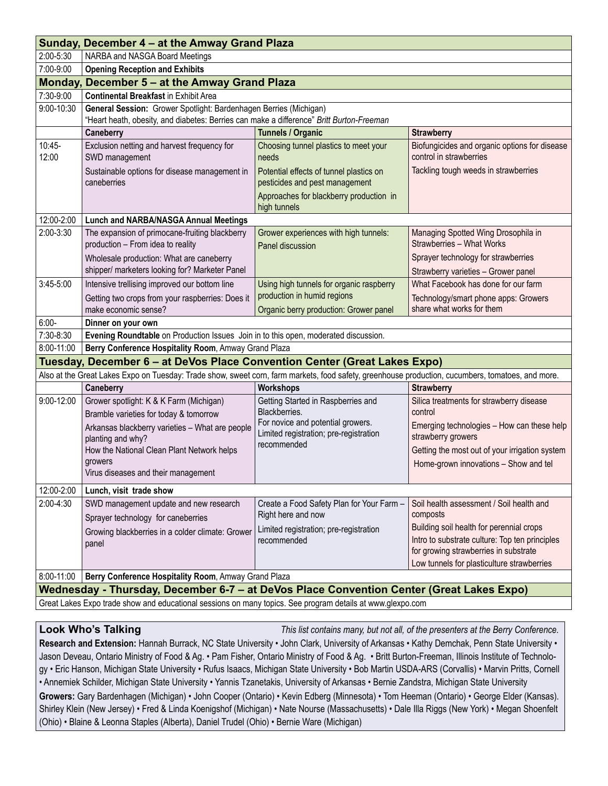|                                                                                                            | Sunday, December 4 - at the Amway Grand Plaza                                                                                                                 |                                                                                                                                      |                                                                                                                                                                                   |  |
|------------------------------------------------------------------------------------------------------------|---------------------------------------------------------------------------------------------------------------------------------------------------------------|--------------------------------------------------------------------------------------------------------------------------------------|-----------------------------------------------------------------------------------------------------------------------------------------------------------------------------------|--|
| 2:00-5:30                                                                                                  | NARBA and NASGA Board Meetings                                                                                                                                |                                                                                                                                      |                                                                                                                                                                                   |  |
| 7:00-9:00                                                                                                  | <b>Opening Reception and Exhibits</b>                                                                                                                         |                                                                                                                                      |                                                                                                                                                                                   |  |
|                                                                                                            | Monday, December 5 - at the Amway Grand Plaza                                                                                                                 |                                                                                                                                      |                                                                                                                                                                                   |  |
| 7:30-9:00                                                                                                  | <b>Continental Breakfast in Exhibit Area</b>                                                                                                                  |                                                                                                                                      |                                                                                                                                                                                   |  |
| 9:00-10:30                                                                                                 | General Session: Grower Spotlight: Bardenhagen Berries (Michigan)<br>"Heart heath, obesity, and diabetes: Berries can make a difference" Britt Burton-Freeman |                                                                                                                                      |                                                                                                                                                                                   |  |
|                                                                                                            | Caneberry                                                                                                                                                     | <b>Tunnels / Organic</b>                                                                                                             | <b>Strawberry</b>                                                                                                                                                                 |  |
| $10:45-$<br>12:00                                                                                          | Exclusion netting and harvest frequency for<br>SWD management                                                                                                 | Choosing tunnel plastics to meet your<br>needs                                                                                       | Biofungicides and organic options for disease<br>control in strawberries                                                                                                          |  |
|                                                                                                            | Sustainable options for disease management in<br>caneberries                                                                                                  | Potential effects of tunnel plastics on<br>pesticides and pest management<br>Approaches for blackberry production in<br>high tunnels | Tackling tough weeds in strawberries                                                                                                                                              |  |
| 12:00-2:00                                                                                                 | <b>Lunch and NARBA/NASGA Annual Meetings</b>                                                                                                                  |                                                                                                                                      |                                                                                                                                                                                   |  |
| 2:00-3:30                                                                                                  | The expansion of primocane-fruiting blackberry<br>production - From idea to reality                                                                           | Grower experiences with high tunnels:<br>Panel discussion                                                                            | Managing Spotted Wing Drosophila in<br>Strawberries - What Works                                                                                                                  |  |
|                                                                                                            | Wholesale production: What are caneberry                                                                                                                      |                                                                                                                                      | Sprayer technology for strawberries                                                                                                                                               |  |
|                                                                                                            | shipper/ marketers looking for? Marketer Panel                                                                                                                |                                                                                                                                      | Strawberry varieties - Grower panel                                                                                                                                               |  |
| 3:45-5:00                                                                                                  | Intensive trellising improved our bottom line                                                                                                                 | Using high tunnels for organic raspberry                                                                                             | What Facebook has done for our farm                                                                                                                                               |  |
|                                                                                                            | Getting two crops from your raspberries: Does it<br>make economic sense?                                                                                      | production in humid regions<br>Organic berry production: Grower panel                                                                | Technology/smart phone apps: Growers<br>share what works for them                                                                                                                 |  |
| $6:00-$                                                                                                    | Dinner on your own                                                                                                                                            |                                                                                                                                      |                                                                                                                                                                                   |  |
| 7:30-8:30                                                                                                  | Evening Roundtable on Production Issues Join in to this open, moderated discussion.                                                                           |                                                                                                                                      |                                                                                                                                                                                   |  |
| 8:00-11:00                                                                                                 | Berry Conference Hospitality Room, Amway Grand Plaza                                                                                                          |                                                                                                                                      |                                                                                                                                                                                   |  |
|                                                                                                            | Tuesday, December 6 - at DeVos Place Convention Center (Great Lakes Expo)                                                                                     |                                                                                                                                      |                                                                                                                                                                                   |  |
|                                                                                                            | Also at the Great Lakes Expo on Tuesday: Trade show, sweet corn, farm markets, food safety, greenhouse production, cucumbers, tomatoes, and more.             |                                                                                                                                      |                                                                                                                                                                                   |  |
|                                                                                                            | Caneberry                                                                                                                                                     | Workshops                                                                                                                            | <b>Strawberry</b>                                                                                                                                                                 |  |
| 9:00-12:00                                                                                                 | Grower spotlight: K & K Farm (Michigan)<br>Bramble varieties for today & tomorrow                                                                             | Getting Started in Raspberries and<br>Blackberries.                                                                                  | Silica treatments for strawberry disease<br>control                                                                                                                               |  |
|                                                                                                            | Arkansas blackberry varieties - What are people<br>planting and why?                                                                                          | For novice and potential growers.<br>Limited registration; pre-registration                                                          | Emerging technologies - How can these help<br>strawberry growers                                                                                                                  |  |
|                                                                                                            | How the National Clean Plant Network helps                                                                                                                    | recommended                                                                                                                          | Getting the most out of your irrigation system                                                                                                                                    |  |
|                                                                                                            | growers<br>Virus diseases and their management                                                                                                                |                                                                                                                                      | Home-grown innovations - Show and tel                                                                                                                                             |  |
| 12:00-2:00                                                                                                 | Lunch, visit trade show                                                                                                                                       |                                                                                                                                      |                                                                                                                                                                                   |  |
| 2:00-4:30                                                                                                  | SWD management update and new research<br>Sprayer technology for caneberries                                                                                  | Create a Food Safety Plan for Your Farm -<br>Right here and now                                                                      | Soil health assessment / Soil health and<br>composts                                                                                                                              |  |
|                                                                                                            | Growing blackberries in a colder climate: Grower<br>panel                                                                                                     | Limited registration; pre-registration<br>recommended                                                                                | Building soil health for perennial crops<br>Intro to substrate culture: Top ten principles<br>for growing strawberries in substrate<br>Low tunnels for plasticulture strawberries |  |
| 8:00-11:00                                                                                                 | Berry Conference Hospitality Room, Amway Grand Plaza                                                                                                          |                                                                                                                                      |                                                                                                                                                                                   |  |
| Wednesday - Thursday, December 6-7 - at DeVos Place Convention Center (Great Lakes Expo)                   |                                                                                                                                                               |                                                                                                                                      |                                                                                                                                                                                   |  |
| Great Lakes Expo trade show and educational sessions on many topics. See program details at www.glexpo.com |                                                                                                                                                               |                                                                                                                                      |                                                                                                                                                                                   |  |

**Look Who's Talking** *This list contains many, but not all, of the presenters at the Berry Conference.* 

**Research and Extension:** Hannah Burrack, NC State University • John Clark, University of Arkansas • Kathy Demchak, Penn State University • Jason Deveau, Ontario Ministry of Food & Ag. • Pam Fisher, Ontario Ministry of Food & Ag. • Britt Burton-Freeman, Illinois Institute of Technology • Eric Hanson, Michigan State University • Rufus Isaacs, Michigan State University • Bob Martin USDA-ARS (Corvallis) • Marvin Pritts, Cornell • Annemiek Schilder, Michigan State University • Yannis Tzanetakis, University of Arkansas • Bernie Zandstra, Michigan State University **Growers:** Gary Bardenhagen (Michigan) • John Cooper (Ontario) • Kevin Edberg (Minnesota) • Tom Heeman (Ontario) • George Elder (Kansas). Shirley Klein (New Jersey) • Fred & Linda Koenigshof (Michigan) • Nate Nourse (Massachusetts) • Dale Illa Riggs (New York) • Megan Shoenfelt (Ohio) • Blaine & Leonna Staples (Alberta), Daniel Trudel (Ohio) • Bernie Ware (Michigan)